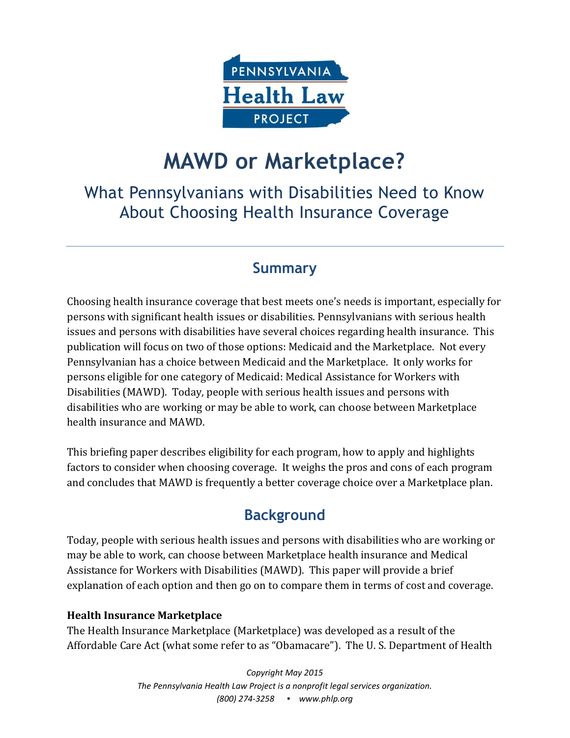

# **MAWD or Marketplace?**

# What Pennsylvanians with Disabilities Need to Know About Choosing Health Insurance Coverage

## **Summary**

Choosing health insurance coverage that best meets one's needs is important, especially for persons with significant health issues or disabilities. Pennsylvanians with serious health issues and persons with disabilities have several choices regarding health insurance. This publication will focus on two of those options: Medicaid and the Marketplace. Not every Pennsylvanian has a choice between Medicaid and the Marketplace. It only works for persons eligible for one category of Medicaid: Medical Assistance for Workers with Disabilities (MAWD). Today, people with serious health issues and persons with disabilities who are working or may be able to work, can choose between Marketplace health insurance and MAWD.

This briefing paper describes eligibility for each program, how to apply and highlights factors to consider when choosing coverage. It weighs the pros and cons of each program and concludes that MAWD is frequently a better coverage choice over a Marketplace plan.

# **Background**

Today, people with serious health issues and persons with disabilities who are working or may be able to work, can choose between Marketplace health insurance and Medical Assistance for Workers with Disabilities (MAWD). This paper will provide a brief explanation of each option and then go on to compare them in terms of cost and coverage.

#### **Health Insurance Marketplace**

The Health Insurance Marketplace (Marketplace) was developed as a result of the Affordable Care Act (what some refer to as "Obamacare"). The U. S. Department of Health

> *Copyright May 2015 The Pennsylvania Health Law Project is a nonprofit legal services organization. (800) 274-3258 ▪ www.phlp.org*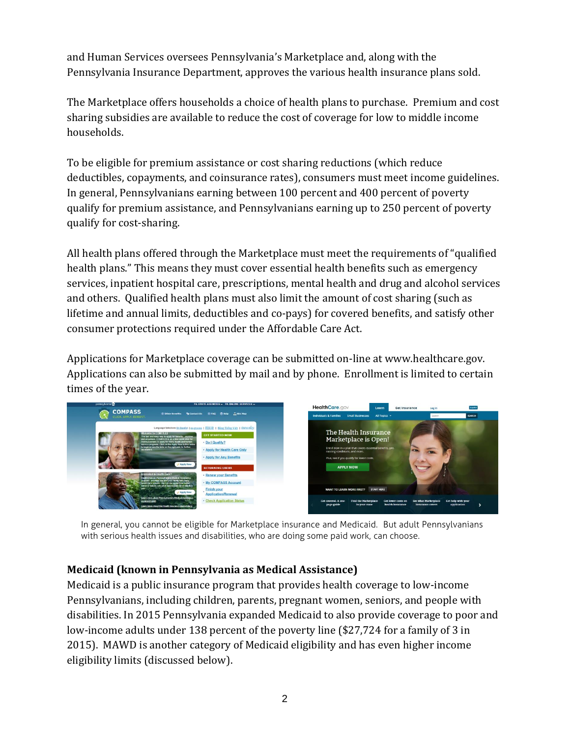and Human Services oversees Pennsylvania's Marketplace and, along with the Pennsylvania Insurance Department, approves the various health insurance plans sold.

The Marketplace offers households a choice of health plans to purchase. Premium and cost sharing subsidies are available to reduce the cost of coverage for low to middle income households.

To be eligible for premium assistance or cost sharing reductions (which reduce deductibles, copayments, and coinsurance rates), consumers must meet income guidelines. In general, Pennsylvanians earning between 100 percent and 400 percent of poverty qualify for premium assistance, and Pennsylvanians earning up to 250 percent of poverty qualify for cost-sharing.

All health plans offered through the Marketplace must meet the requirements of "qualified health plans." This means they must cover essential health benefits such as emergency services, inpatient hospital care, prescriptions, mental health and drug and alcohol services and others. Qualified health plans must also limit the amount of cost sharing (such as lifetime and annual limits, deductibles and co-pays) for covered benefits, and satisfy other consumer protections required under the Affordable Care Act.

Applications for Marketplace coverage can be submitted on-line at www.healthcare.gov. Applications can also be submitted by mail and by phone. Enrollment is limited to certain times of the year.



In general, you cannot be eligible for Marketplace insurance and Medicaid. But adult Pennsylvanians with serious health issues and disabilities, who are doing some paid work, can choose.

#### **Medicaid (known in Pennsylvania as Medical Assistance)**

Medicaid is a public insurance program that provides health coverage to low-income Pennsylvanians, including children, parents, pregnant women, seniors, and people with disabilities. In 2015 Pennsylvania expanded Medicaid to also provide coverage to poor and low-income adults under 138 percent of the poverty line (\$27,724 for a family of 3 in 2015). MAWD is another category of Medicaid eligibility and has even higher income eligibility limits (discussed below).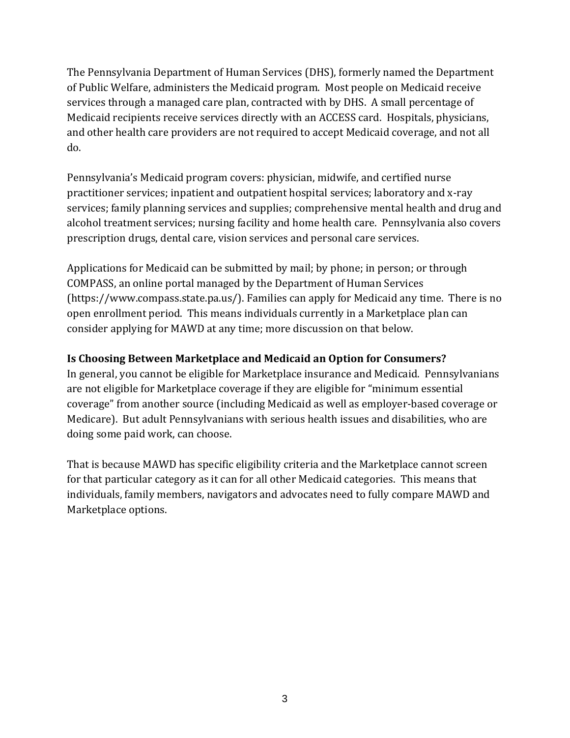The Pennsylvania Department of Human Services (DHS), formerly named the Department of Public Welfare, administers the Medicaid program. Most people on Medicaid receive services through a managed care plan, contracted with by DHS. A small percentage of Medicaid recipients receive services directly with an ACCESS card. Hospitals, physicians, and other health care providers are not required to accept Medicaid coverage, and not all do.

Pennsylvania's Medicaid program covers: physician, midwife, and certified nurse practitioner services; inpatient and outpatient hospital services; laboratory and x-ray services; family planning services and supplies; comprehensive mental health and drug and alcohol treatment services; nursing facility and home health care. Pennsylvania also covers prescription drugs, dental care, vision services and personal care services.

Applications for Medicaid can be submitted by mail; by phone; in person; or through COMPASS, an online portal managed by the Department of Human Services (https://www.compass.state.pa.us/). Families can apply for Medicaid any time. There is no open enrollment period. This means individuals currently in a Marketplace plan can consider applying for MAWD at any time; more discussion on that below.

#### **Is Choosing Between Marketplace and Medicaid an Option for Consumers?**

In general, you cannot be eligible for Marketplace insurance and Medicaid. Pennsylvanians are not eligible for Marketplace coverage if they are eligible for "minimum essential coverage" from another source (including Medicaid as well as employer-based coverage or Medicare). But adult Pennsylvanians with serious health issues and disabilities, who are doing some paid work, can choose.

That is because MAWD has specific eligibility criteria and the Marketplace cannot screen for that particular category as it can for all other Medicaid categories. This means that individuals, family members, navigators and advocates need to fully compare MAWD and Marketplace options.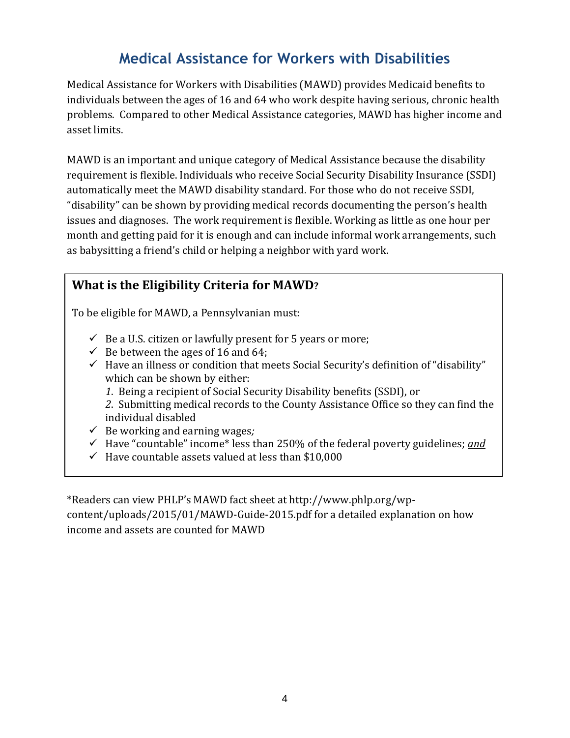## **Medical Assistance for Workers with Disabilities**

Medical Assistance for Workers with Disabilities (MAWD) provides Medicaid benefits to individuals between the ages of 16 and 64 who work despite having serious, chronic health problems. Compared to other Medical Assistance categories, MAWD has higher income and asset limits.

MAWD is an important and unique category of Medical Assistance because the disability requirement is flexible. Individuals who receive Social Security Disability Insurance (SSDI) automatically meet the MAWD disability standard. For those who do not receive SSDI, "disability" can be shown by providing medical records documenting the person's health issues and diagnoses. The work requirement is flexible. Working as little as one hour per month and getting paid for it is enough and can include informal work arrangements, such as babysitting a friend's child or helping a neighbor with yard work.

## **What is the Eligibility Criteria for MAWD?**

To be eligible for MAWD, a Pennsylvanian must:

- $\checkmark$  Be a U.S. citizen or lawfully present for 5 years or more;
- $\checkmark$  Be between the ages of 16 and 64;
- $\checkmark$  Have an illness or condition that meets Social Security's definition of "disability" which can be shown by either:
	- *1*. Being a recipient of Social Security Disability benefits (SSDI), or

*2*. Submitting medical records to the County Assistance Office so they can find the individual disabled

- Be working and earning wages*;*
- Have "countable" income\* less than 250% of the federal poverty guidelines; *and*
- $\checkmark$  Have countable assets valued at less than \$10,000

\*Readers can view PHLP's MAWD fact sheet at http://www.phlp.org/wpcontent/uploads/2015/01/MAWD-Guide-2015.pdf for a detailed explanation on how income and assets are counted for MAWD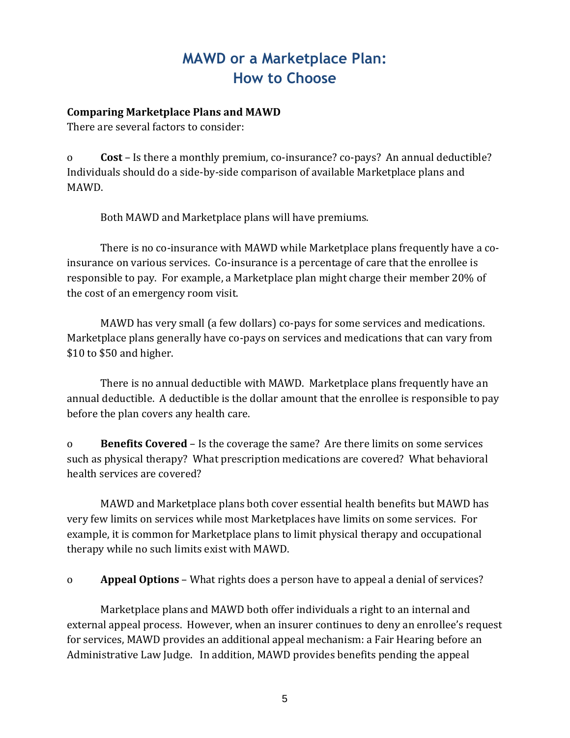# **MAWD or a Marketplace Plan: How to Choose**

#### **Comparing Marketplace Plans and MAWD**

There are several factors to consider:

o **Cost** – Is there a monthly premium, co-insurance? co-pays? An annual deductible? Individuals should do a side-by-side comparison of available Marketplace plans and MAWD.

Both MAWD and Marketplace plans will have premiums.

There is no co-insurance with MAWD while Marketplace plans frequently have a coinsurance on various services. Co-insurance is a percentage of care that the enrollee is responsible to pay. For example, a Marketplace plan might charge their member 20% of the cost of an emergency room visit.

MAWD has very small (a few dollars) co-pays for some services and medications. Marketplace plans generally have co-pays on services and medications that can vary from \$10 to \$50 and higher.

There is no annual deductible with MAWD. Marketplace plans frequently have an annual deductible. A deductible is the dollar amount that the enrollee is responsible to pay before the plan covers any health care.

o **Benefits Covered** – Is the coverage the same? Are there limits on some services such as physical therapy? What prescription medications are covered? What behavioral health services are covered?

MAWD and Marketplace plans both cover essential health benefits but MAWD has very few limits on services while most Marketplaces have limits on some services. For example, it is common for Marketplace plans to limit physical therapy and occupational therapy while no such limits exist with MAWD.

o **Appeal Options** – What rights does a person have to appeal a denial of services?

Marketplace plans and MAWD both offer individuals a right to an internal and external appeal process. However, when an insurer continues to deny an enrollee's request for services, MAWD provides an additional appeal mechanism: a Fair Hearing before an Administrative Law Judge. In addition, MAWD provides benefits pending the appeal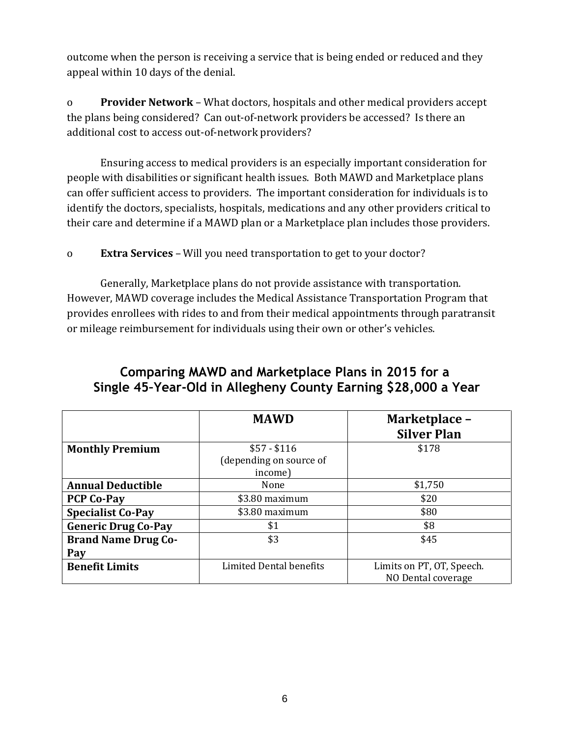outcome when the person is receiving a service that is being ended or reduced and they appeal within 10 days of the denial.

o **Provider Network** – What doctors, hospitals and other medical providers accept the plans being considered? Can out-of-network providers be accessed? Is there an additional cost to access out-of-network providers?

Ensuring access to medical providers is an especially important consideration for people with disabilities or significant health issues. Both MAWD and Marketplace plans can offer sufficient access to providers. The important consideration for individuals is to identify the doctors, specialists, hospitals, medications and any other providers critical to their care and determine if a MAWD plan or a Marketplace plan includes those providers.

o **Extra Services** – Will you need transportation to get to your doctor?

Generally, Marketplace plans do not provide assistance with transportation. However, MAWD coverage includes the Medical Assistance Transportation Program that provides enrollees with rides to and from their medical appointments through paratransit or mileage reimbursement for individuals using their own or other's vehicles.

## **Comparing MAWD and Marketplace Plans in 2015 for a Single 45–Year-Old in Allegheny County Earning \$28,000 a Year**

|                            | <b>MAWD</b>             | Marketplace -<br><b>Silver Plan</b> |
|----------------------------|-------------------------|-------------------------------------|
| <b>Monthly Premium</b>     | $$57 - $116$            | \$178                               |
|                            | (depending on source of |                                     |
|                            | income)                 |                                     |
| <b>Annual Deductible</b>   | None                    | \$1,750                             |
| <b>PCP Co-Pay</b>          | \$3.80 maximum          | \$20                                |
| <b>Specialist Co-Pay</b>   | \$3.80 maximum          | \$80                                |
| <b>Generic Drug Co-Pay</b> | \$1                     | \$8                                 |
| <b>Brand Name Drug Co-</b> | \$3                     | \$45                                |
| Pay                        |                         |                                     |
| <b>Benefit Limits</b>      | Limited Dental benefits | Limits on PT, OT, Speech.           |
|                            |                         | NO Dental coverage                  |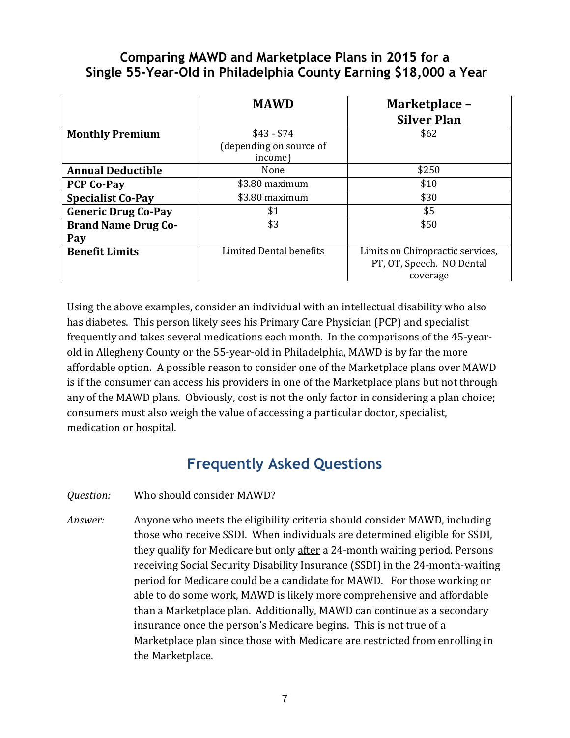### **Comparing MAWD and Marketplace Plans in 2015 for a Single 55-Year-Old in Philadelphia County Earning \$18,000 a Year**

|                            | <b>MAWD</b>                    | Marketplace -<br><b>Silver Plan</b> |
|----------------------------|--------------------------------|-------------------------------------|
| <b>Monthly Premium</b>     | $$43 - $74$                    | \$62                                |
|                            | (depending on source of        |                                     |
|                            | income)                        |                                     |
| <b>Annual Deductible</b>   | None                           | \$250                               |
| <b>PCP Co-Pay</b>          | \$3.80 maximum                 | \$10                                |
| <b>Specialist Co-Pay</b>   | \$3.80 maximum                 | \$30                                |
| <b>Generic Drug Co-Pay</b> | \$1                            | \$5                                 |
| <b>Brand Name Drug Co-</b> | \$3                            | \$50                                |
| Pay                        |                                |                                     |
| <b>Benefit Limits</b>      | <b>Limited Dental benefits</b> | Limits on Chiropractic services,    |
|                            |                                | PT, OT, Speech. NO Dental           |
|                            |                                | coverage                            |

Using the above examples, consider an individual with an intellectual disability who also has diabetes. This person likely sees his Primary Care Physician (PCP) and specialist frequently and takes several medications each month. In the comparisons of the 45-yearold in Allegheny County or the 55-year-old in Philadelphia, MAWD is by far the more affordable option. A possible reason to consider one of the Marketplace plans over MAWD is if the consumer can access his providers in one of the Marketplace plans but not through any of the MAWD plans. Obviously, cost is not the only factor in considering a plan choice; consumers must also weigh the value of accessing a particular doctor, specialist, medication or hospital.

## **Frequently Asked Questions**

*Question:* Who should consider MAWD?

*Answer:* Anyone who meets the eligibility criteria should consider MAWD, including those who receive SSDI. When individuals are determined eligible for SSDI, they qualify for Medicare but only after a 24-month waiting period. Persons receiving Social Security Disability Insurance (SSDI) in the 24-month-waiting period for Medicare could be a candidate for MAWD. For those working or able to do some work, MAWD is likely more comprehensive and affordable than a Marketplace plan. Additionally, MAWD can continue as a secondary insurance once the person's Medicare begins. This is not true of a Marketplace plan since those with Medicare are restricted from enrolling in the Marketplace.